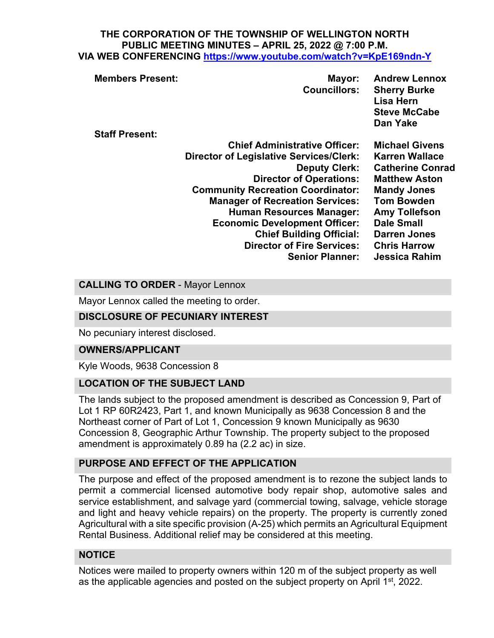#### **THE CORPORATION OF THE TOWNSHIP OF WELLINGTON NORTH PUBLIC MEETING MINUTES – APRIL 25, 2022 @ 7:00 P.M. VIA WEB CONFERENCING <https://www.youtube.com/watch?v=KpE169ndn-Y>**

| <b>Steve McCabe</b><br>Dan Yake                                         |
|-------------------------------------------------------------------------|
| <b>Staff Present:</b>                                                   |
| <b>Chief Administrative Officer:</b><br><b>Michael Givens</b>           |
| <b>Director of Legislative Services/Clerk:</b><br><b>Karren Wallace</b> |
| <b>Catherine Conrad</b><br><b>Deputy Clerk:</b>                         |
| <b>Director of Operations:</b><br><b>Matthew Aston</b>                  |
| <b>Community Recreation Coordinator:</b><br><b>Mandy Jones</b>          |
| <b>Tom Bowden</b><br><b>Manager of Recreation Services:</b>             |
| <b>Human Resources Manager:</b><br><b>Amy Tollefson</b>                 |
| <b>Dale Small</b><br><b>Economic Development Officer:</b>               |
| <b>Chief Building Official:</b><br><b>Darren Jones</b>                  |
| <b>Director of Fire Services:</b><br><b>Chris Harrow</b>                |
| <b>Senior Planner:</b><br><b>Jessica Rahim</b>                          |

#### **CALLING TO ORDER** - Mayor Lennox

Mayor Lennox called the meeting to order.

#### **DISCLOSURE OF PECUNIARY INTEREST**

No pecuniary interest disclosed.

#### **OWNERS/APPLICANT**

Kyle Woods, 9638 Concession 8

#### **LOCATION OF THE SUBJECT LAND**

The lands subject to the proposed amendment is described as Concession 9, Part of Lot 1 RP 60R2423, Part 1, and known Municipally as 9638 Concession 8 and the Northeast corner of Part of Lot 1, Concession 9 known Municipally as 9630 Concession 8, Geographic Arthur Township. The property subject to the proposed amendment is approximately 0.89 ha (2.2 ac) in size.

#### **PURPOSE AND EFFECT OF THE APPLICATION**

The purpose and effect of the proposed amendment is to rezone the subject lands to permit a commercial licensed automotive body repair shop, automotive sales and service establishment, and salvage yard (commercial towing, salvage, vehicle storage and light and heavy vehicle repairs) on the property. The property is currently zoned Agricultural with a site specific provision (A-25) which permits an Agricultural Equipment Rental Business. Additional relief may be considered at this meeting.

## **NOTICE**

Notices were mailed to property owners within 120 m of the subject property as well as the applicable agencies and posted on the subject property on April  $1<sup>st</sup>$ , 2022.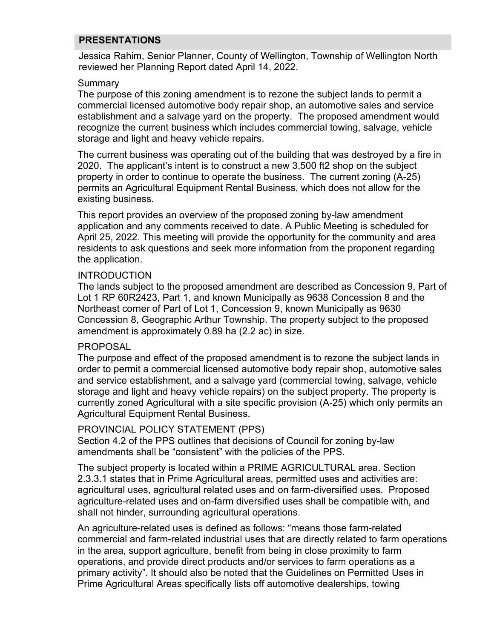### **PRESENTATIONS**

Jessica Rahim, Senior Planner, County of Wellington, Township of Wellington North reviewed her Planning Report dated April 14, 2022.

#### Summary

The purpose of this zoning amendment is to rezone the subject lands to permit a commercial licensed automotive body repair shop, an automotive sales and service establishment and a salvage yard on the property. The proposed amendment would recognize the current business which includes commercial towing, salvage, vehicle storage and light and heavy vehicle repairs.

The current business was operating out of the building that was destroyed by a fire in 2020. The applicant's intent is to construct a new 3,500 ft2 shop on the subject property in order to continue to operate the business. The current zoning (A-25) permits an Agricultural Equipment Rental Business, which does not allow for the existing business.

This report provides an overview of the proposed zoning by-law amendment application and any comments received to date. A Public Meeting is scheduled for April 25, 2022. This meeting will provide the opportunity for the community and area residents to ask questions and seek more information from the proponent regarding the application.

#### **INTRODUCTION**

The lands subject to the proposed amendment are described as Concession 9, Part of Lot 1 RP 60R2423, Part 1, and known Municipally as 9638 Concession 8 and the Northeast corner of Part of Lot 1, Concession 9, known Municipally as 9630 Concession 8, Geographic Arthur Township. The property subject to the proposed amendment is approximately 0.89 ha (2.2 ac) in size.

#### PROPOSAL

The purpose and effect of the proposed amendment is to rezone the subject lands in order to permit a commercial licensed automotive body repair shop, automotive sales and service establishment, and a salvage yard (commercial towing, salvage, vehicle storage and light and heavy vehicle repairs) on the subject property. The property is currently zoned Agricultural with a site specific provision (A-25) which only permits an Agricultural Equipment Rental Business.

#### PROVINCIAL POLICY STATEMENT (PPS)

Section 4.2 of the PPS outlines that decisions of Council for zoning by-law amendments shall be "consistent" with the policies of the PPS.

The subject property is located within a PRIME AGRICULTURAL area. Section 2.3.3.1 states that in Prime Agricultural areas, permitted uses and activities are: agricultural uses, agricultural related uses and on farm-diversified uses. Proposed agriculture-related uses and on-farm diversified uses shall be compatible with, and shall not hinder, surrounding agricultural operations.

An agriculture-related uses is defined as follows: "means those farm-related commercial and farm-related industrial uses that are directly related to farm operations in the area, support agriculture, benefit from being in close proximity to farm operations, and provide direct products and/or services to farm operations as a primary activity". It should also be noted that the Guidelines on Permitted Uses in Prime Agricultural Areas specifically lists off automotive dealerships, towing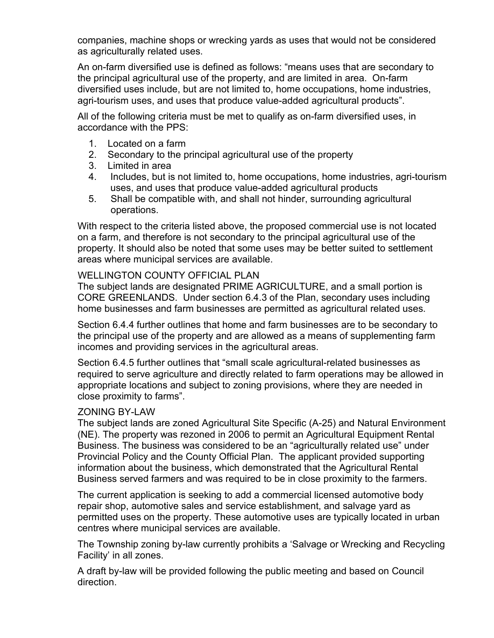companies, machine shops or wrecking yards as uses that would not be considered as agriculturally related uses.

An on-farm diversified use is defined as follows: "means uses that are secondary to the principal agricultural use of the property, and are limited in area. On-farm diversified uses include, but are not limited to, home occupations, home industries, agri-tourism uses, and uses that produce value-added agricultural products".

All of the following criteria must be met to qualify as on-farm diversified uses, in accordance with the PPS:

- 1. Located on a farm
- 2. Secondary to the principal agricultural use of the property
- 3. Limited in area
- 4. Includes, but is not limited to, home occupations, home industries, agri-tourism uses, and uses that produce value-added agricultural products
- 5. Shall be compatible with, and shall not hinder, surrounding agricultural operations.

With respect to the criteria listed above, the proposed commercial use is not located on a farm, and therefore is not secondary to the principal agricultural use of the property. It should also be noted that some uses may be better suited to settlement areas where municipal services are available.

### WELLINGTON COUNTY OFFICIAL PLAN

The subject lands are designated PRIME AGRICULTURE, and a small portion is CORE GREENLANDS. Under section 6.4.3 of the Plan, secondary uses including home businesses and farm businesses are permitted as agricultural related uses.

Section 6.4.4 further outlines that home and farm businesses are to be secondary to the principal use of the property and are allowed as a means of supplementing farm incomes and providing services in the agricultural areas.

Section 6.4.5 further outlines that "small scale agricultural-related businesses as required to serve agriculture and directly related to farm operations may be allowed in appropriate locations and subject to zoning provisions, where they are needed in close proximity to farms".

## ZONING BY-LAW

The subject lands are zoned Agricultural Site Specific (A-25) and Natural Environment (NE). The property was rezoned in 2006 to permit an Agricultural Equipment Rental Business. The business was considered to be an "agriculturally related use" under Provincial Policy and the County Official Plan. The applicant provided supporting information about the business, which demonstrated that the Agricultural Rental Business served farmers and was required to be in close proximity to the farmers.

The current application is seeking to add a commercial licensed automotive body repair shop, automotive sales and service establishment, and salvage yard as permitted uses on the property. These automotive uses are typically located in urban centres where municipal services are available.

The Township zoning by-law currently prohibits a 'Salvage or Wrecking and Recycling Facility' in all zones.

A draft by-law will be provided following the public meeting and based on Council direction.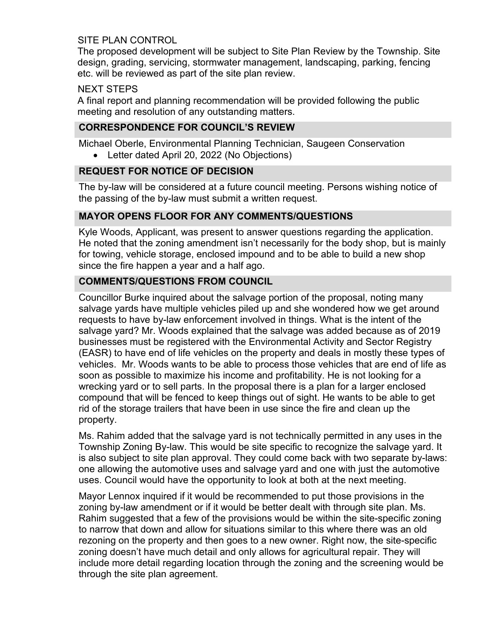### SITE PLAN CONTROL

The proposed development will be subject to Site Plan Review by the Township. Site design, grading, servicing, stormwater management, landscaping, parking, fencing etc. will be reviewed as part of the site plan review.

### NEXT STEPS

A final report and planning recommendation will be provided following the public meeting and resolution of any outstanding matters.

### **CORRESPONDENCE FOR COUNCIL'S REVIEW**

Michael Oberle, Environmental Planning Technician, Saugeen Conservation

• Letter dated April 20, 2022 (No Objections)

### **REQUEST FOR NOTICE OF DECISION**

The by-law will be considered at a future council meeting. Persons wishing notice of the passing of the by-law must submit a written request.

## **MAYOR OPENS FLOOR FOR ANY COMMENTS/QUESTIONS**

Kyle Woods, Applicant, was present to answer questions regarding the application. He noted that the zoning amendment isn't necessarily for the body shop, but is mainly for towing, vehicle storage, enclosed impound and to be able to build a new shop since the fire happen a year and a half ago.

## **COMMENTS/QUESTIONS FROM COUNCIL**

Councillor Burke inquired about the salvage portion of the proposal, noting many salvage yards have multiple vehicles piled up and she wondered how we get around requests to have by-law enforcement involved in things. What is the intent of the salvage yard? Mr. Woods explained that the salvage was added because as of 2019 businesses must be registered with the Environmental Activity and Sector Registry (EASR) to have end of life vehicles on the property and deals in mostly these types of vehicles. Mr. Woods wants to be able to process those vehicles that are end of life as soon as possible to maximize his income and profitability. He is not looking for a wrecking yard or to sell parts. In the proposal there is a plan for a larger enclosed compound that will be fenced to keep things out of sight. He wants to be able to get rid of the storage trailers that have been in use since the fire and clean up the property.

Ms. Rahim added that the salvage yard is not technically permitted in any uses in the Township Zoning By-law. This would be site specific to recognize the salvage yard. It is also subject to site plan approval. They could come back with two separate by-laws: one allowing the automotive uses and salvage yard and one with just the automotive uses. Council would have the opportunity to look at both at the next meeting.

Mayor Lennox inquired if it would be recommended to put those provisions in the zoning by-law amendment or if it would be better dealt with through site plan. Ms. Rahim suggested that a few of the provisions would be within the site-specific zoning to narrow that down and allow for situations similar to this where there was an old rezoning on the property and then goes to a new owner. Right now, the site-specific zoning doesn't have much detail and only allows for agricultural repair. They will include more detail regarding location through the zoning and the screening would be through the site plan agreement.